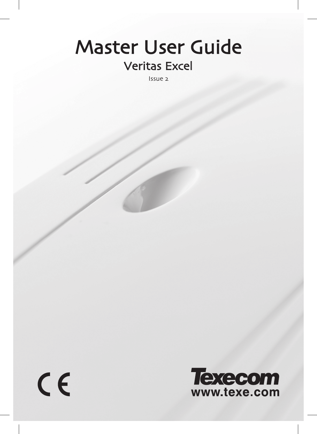# Veritas Excel Master User Guide

Issue 2

 $C<sub>f</sub>$ 

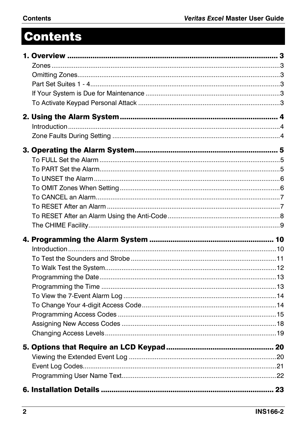# **Contents**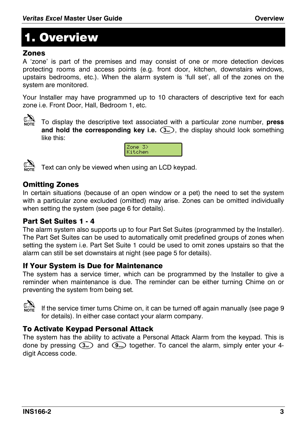# 1. Overview

#### Zones

A 'zone' is part of the premises and may consist of one or more detection devices protecting rooms and access points (e.g. front door, kitchen, downstairs windows, upstairs bedrooms, etc.). When the alarm system is 'full set', all of the zones on the system are monitored.

Your Installer may have programmed up to 10 characters of descriptive text for each zone i.e. Front Door, Hall, Bedroom 1, etc.



! To display the descriptive text associated with a particular zone number, **press and hold the corresponding key i.e.**  $(3)$ , the display should look something like this:

| ≤one<br>tchen |  |
|---------------|--|
|---------------|--|

Text can only be viewed when using an LCD keypad.



### Omitting Zones

In certain situations (because of an open window or a pet) the need to set the system with a particular zone excluded (omitted) may arise. Zones can be omitted individually when setting the system (see page 6 for details).

#### Part Set Suites 1 - 4

The alarm system also supports up to four Part Set Suites (programmed by the Installer). The Part Set Suites can be used to automatically omit predefined groups of zones when setting the system i.e. Part Set Suite 1 could be used to omit zones upstairs so that the alarm can still be set downstairs at night (see page 5 for details).

#### If Your System is Due for Maintenance

The system has a service timer, which can be programmed by the Installer to give a reminder when maintenance is due. The reminder can be either turning Chime on or preventing the system from being set.



! If the service timer turns Chime on, it can be turned off again manually (see page 9 for details). In either case contact your alarm company.

#### To Activate Keypad Personal Attack

The system has the ability to activate a Personal Attack Alarm from the keypad. This is done by pressing  $(3_{\ast})$  and  $(9_{\ast})$  together. To cancel the alarm, simply enter your 4digit Access code.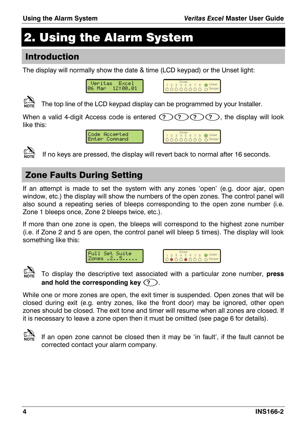# 2. Using the Alarm System

#### **Introduction**

The display will normally show the date & time (LCD keypad) or the Unset light:





The top line of the LCD kevpad display can be programmed by your Installer.

When a valid 4-digit Access code is entered  $(2)(2)(2)$ , the display will look like this:





If no keys are pressed, the display will revert back to normal after 16 seconds.

# **Zone Faults During Setting**

If an attempt is made to set the system with any zones 'open' (e.g. door ajar, open window, etc.) the display will show the numbers of the open zones. The control panel will also sound a repeating series of bleeps corresponding to the open zone number (i.e. Zone 1 bleeps once, Zone 2 bleeps twice, etc.).

If more than one zone is open, the bleeps will correspond to the highest zone number (i.e. if Zone 2 and 5 are open, the control panel will bleep 5 times). The display will look something like this:







To display the descriptive text associated with a particular zone number, press and hold the corresponding key  $(?)$ .

While one or more zones are open, the exit timer is suspended. Open zones that will be closed during exit (e.g. entry zones, like the front door) may be ignored, other open zones should be closed. The exit tone and timer will resume when all zones are closed. If it is necessary to leave a zone open then it must be omitted (see page 6 for details).



If an open zone cannot be closed then it may be 'in fault', if the fault cannot be corrected contact your alarm company.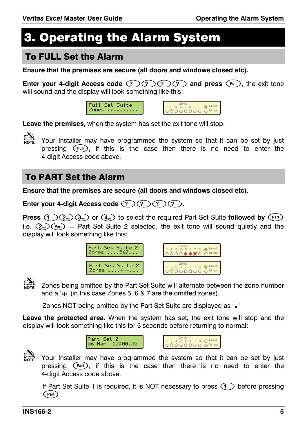$\bullet$  Unset

# 3. Operating the Alarm System

#### **To FULL Set the Alarm**

Ensure that the premises are secure (all doors and windows closed etc).

Enter your 4-digit Access code  $(2)(2)(2)(2)$  and press (Full), the exit tone will sound and the display will look something like this:



Leave the premises, when the system has set the exit tone will stop.



Your Installer may have programmed the system so that it can be set by just pressing (Full), if this is the case then there is no need to enter the 4-digit Access code above.

# **To PART Set the Alarm**

Ensure that the premises are secure (all doors and windows closed etc).

Enter your 4-digit Access code  $(?)(?)(?)$ 

**Press** (1)  $(2_{\infty})$  ( $3_{\infty}$ ) or  $(4_{\infty})$  to select the required Part Set Suite followed by  $(Part)$ i.e.  $(2)$   $($ Part = Part Set Suite 2 selected, the exit tone will sound quietly and the display will look something like this:





Zones being omitted by the Part Set Suite will alternate between the zone number and a ' $\star$ ' (in this case Zones 5, 6 & 7 are the omitted zones).

Zones NOT being omitted by the Part Set Suite are displayed as '.'

Leave the protected area. When the system has set, the exit tone will stop and the display will look something like this for 5 seconds before returning to normal:





Your Installer may have programmed the system so that it can be set by just pressing (Part), if this is the case then there is no need to enter the 4-digit Access code above.

If Part Set Suite 1 is required, it is NOT necessary to press  $(1)$  before pressing  $(Part)$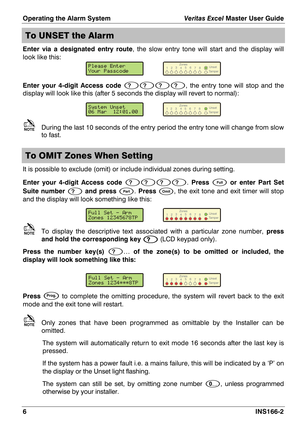## To UNSET the Alarm

**Enter via a designated entry route**, the slow entry tone will start and the display will look like this:

> Please Enter .<br>Your Passcode



**Enter your 4-digit Access code**  $(2)$ **,**  $(2)$ **,**  $(2)$ **, the entry tone will stop and the** display will look like this (after 5 seconds the display will revert to normal):





 $\mathbb{C}\!\!\!\!\!\!\sum_{\text{Norm}}$  During the last 10 seconds of the entry period the entry tone will change from slow to fast.

# To OMIT Zones When Setting

It is possible to exclude (omit) or include individual zones during setting.

**Enter your 4-digit Access code**  $\mathcal{P}(P)$  $\mathcal{P}(P)$ **. Press**  $\mathcal{F}$  **or enter Part Set Suite number**  $\binom{?}{?}$  **and press**  $\binom{Part}{?}$ **. Press**  $\binom{Unit}{?}$ **, the exit tone and exit timer will stop** and the display will look something like this:



 $Full Set = Arm$ Zones 12345678TP



! To display the descriptive text associated with a particular zone number, **press**  and hold the corresponding key  $\textcircled{?}$  (LCD keypad only).

**Press the number key(s)**  $(2)$ **... of the zone(s) to be omitted or included, the display will look something like this:** 





**Press** (Prog.) to complete the omitting procedure, the system will revert back to the exit mode and the exit tone will restart.



Only zones that have been programmed as omittable by the Installer can be omitted.

The system will automatically return to exit mode 16 seconds after the last key is pressed.

If the system has a power fault i.e. a mains failure, this will be indicated by a 'P' on the display or the Unset light flashing.

The system can still be set, by omitting zone number  $(\Omega)$ , unless programmed otherwise by your installer.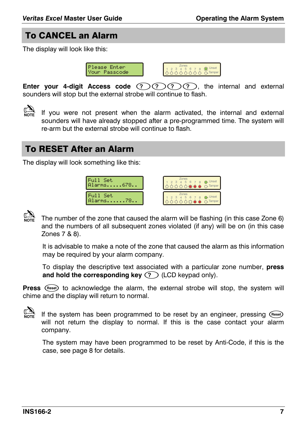#### To CANCEL an Alarm

The display will look like this:





**Enter your 4-digit Access code**  $(2)(2)(2)$ , the internal and external sounders will stop but the external strobe will continue to flash.

 $\mathbb{C}\!\!\!\!\!\!\!\sum_{\text{NOTE}}$  If you were not present when the alarm activated, the internal and external sounders will have already stopped after a pre-programmed time. The system will re-arm but the external strobe will continue to flash.

#### To RESET After an Alarm

The display will look something like this:





! The number of the zone that caused the alarm will be flashing (in this case Zone 6) and the numbers of all subsequent zones violated (if any) will be on (in this case Zones 7 & 8).

It is advisable to make a note of the zone that caused the alarm as this information may be required by your alarm company.

To display the descriptive text associated with a particular zone number, **press and hold the corresponding key**  $(?)$  **(LCD keypad only).** 

Press (reset) to acknowledge the alarm, the external strobe will stop, the system will chime and the display will return to normal.

If the system has been programmed to be reset by an engineer, pressing (Reset) will not return the display to normal. If this is the case contact your alarm company.

The system may have been programmed to be reset by Anti-Code, if this is the case, see page 8 for details.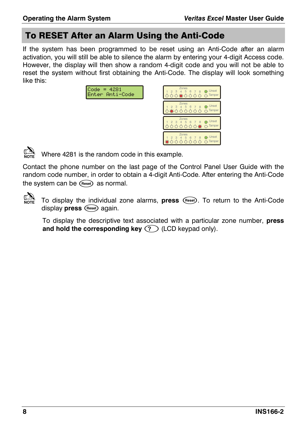# To RESET After an Alarm Using the Anti-Code

If the system has been programmed to be reset using an Anti-Code after an alarm activation, you will still be able to silence the alarm by entering your 4-digit Access code. However, the display will then show a random 4-digit code and you will not be able to reset the system without first obtaining the Anti-Code. The display will look something like this:

| $= 4281$<br>Code<br>Enter Anti-Code | Zones<br>Unset<br>5<br>6<br>8<br>C <sub>r</sub> Tamper |
|-------------------------------------|--------------------------------------------------------|
|                                     | Zones<br>Unset<br>5<br>6<br>З<br>L Tamper              |
|                                     | Zones<br>Unset<br>5<br>6<br>8<br>C <sub>r</sub> Tamper |
|                                     | Zones<br>Unset<br>6<br>5<br>C <sub>r</sub> Tamper      |



 $\mathbb{R}$  Where 4281 is the random code in this example.

Contact the phone number on the last page of the Control Panel User Guide with the random code number, in order to obtain a 4-digit Anti-Code. After entering the Anti-Code the system can be (Reset) as normal.

! To display the individual zone alarms, **press** ,. To return to the Anti-Code display **press** (Reset) again.

To display the descriptive text associated with a particular zone number, **press**  and hold the corresponding key  $(?)$  (LCD keypad only).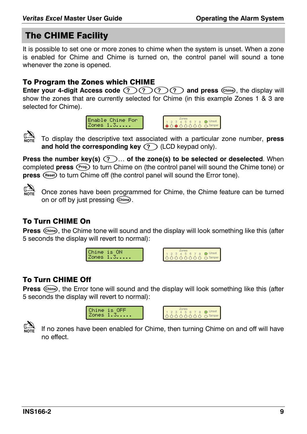#### The CHIME Facility

It is possible to set one or more zones to chime when the system is unset. When a zone is enabled for Chime and Chime is turned on, the control panel will sound a tone whenever the zone is opened.

#### To Program the Zones which CHIME

**Enter your 4-digit Access code**  $(2)$  $(2)$  $(2)$  $(2)$  **and press**  $(5)$ **<sub>mme</sub>, the display will** show the zones that are currently selected for Chime (in this example Zones 1 & 3 are selected for Chime).





! To display the descriptive text associated with a particular zone number, **press**  and hold the corresponding key  $\textcircled{?}$  (LCD keypad only).

**Press the number key(s)**  $(2)$ **... of the zone(s) to be selected or deselected**. When completed **press** (Prog.) to turn Chime on (the control panel will sound the Chime tone) or press (Reset) to turn Chime off (the control panel will sound the Error tone).



! Once zones have been programmed for Chime, the Chime feature can be turned on or off by just pressing (Chime).

#### To Turn CHIME On

**Press**  $\binom{6 \text{him}\theta}{m}$ , the Chime tone will sound and the display will look something like this (after 5 seconds the display will revert to normal):





#### To Turn CHIME Off

**Press**  $\binom{Chim}{n}$ , the Error tone will sound and the display will look something like this (after 5 seconds the display will revert to normal):





If no zones have been enabled for Chime, then turning Chime on and off will have no effect.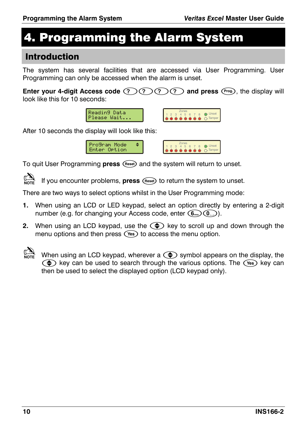# 4. Programming the Alarm System

#### Introduction

The system has several facilities that are accessed via User Programming. User Programming can only be accessed when the alarm is unset.

**Enter your 4-digit Access code**  $(2)$  $(2)$  $(2)$  $(2)$  **and press**  $(2)$ **, the display will** look like this for 10 seconds:





After 10 seconds the display will look like this:





To quit User Programming **press** (Reset) and the system will return to unset.

If you encounter problems, **press** (Reset) to return the system to unset.

There are two ways to select options whilst in the User Programming mode:

- **1.** When using an LCD or LED keypad, select an option directly by entering a 2-digit number (e.g. for changing your Access code, enter  $(\mathbf{6}_{\text{max}})(\mathbf{0}_{\text{max}})$ ).
- **2.** When using an LCD keypad, use the  $\textcircled{1}$  key to scroll up and down through the menu options and then press  $\left(\sqrt{1 + \epsilon}\right)$  to access the menu option.
- $\mathbb{C}$  When using an LCD keypad, wherever a  $\bigodot$  symbol appears on the display, the  $\Leftrightarrow$  key can be used to search through the various options. The  $\Gamma$  (Yes) key can then be used to select the displayed option (LCD keypad only).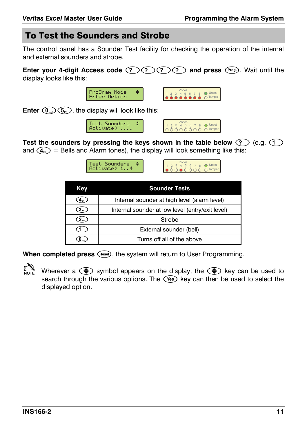#### To Test the Sounders and Strobe

The control panel has a Sounder Test facility for checking the operation of the internal and external sounders and strobe.

**Enter your 4-digit Access code**  $(2)(2)(2)(2)$  **and press** (Frog.). Wait until the display looks like this:



**Enter**  $\circled{1}$ ,  $\circled{5}$ , the display will look like this:





Test the sounders by pressing the keys shown in the table below  $\textcircled{?}\ \textcircled{e.g.}$ and  $(4)$  = Bells and Alarm tones), the display will look something like this:

| <b>Test Sounders</b><br>Activate> 14 | $7$ nnes<br>2 3 4 5 6 7 8 1 Unset | $\land$ $\land$ Tamper |
|--------------------------------------|-----------------------------------|------------------------|
|                                      |                                   |                        |

| Key                                                                  | <b>Sounder Tests</b>       |  |  |  |
|----------------------------------------------------------------------|----------------------------|--|--|--|
| Internal sounder at high level (alarm level)                         |                            |  |  |  |
| Internal sounder at low level (entry/exit level)<br>3 <sub>det</sub> |                            |  |  |  |
| $2_{\text{abc}}$                                                     | Strobe                     |  |  |  |
|                                                                      | External sounder (bell)    |  |  |  |
|                                                                      | Turns off all of the above |  |  |  |

**When completed press** (Reset), the system will return to User Programming.

Wherever a  $\bigodot$  symbol appears on the display, the  $\bigodot$  key can be used to search through the various options. The  $\circ$  key can then be used to select the displayed option.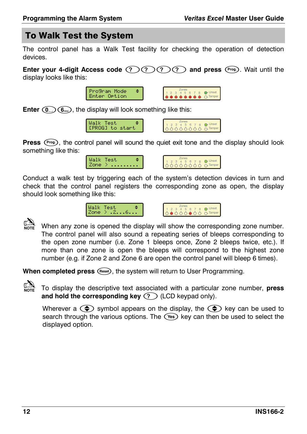# To Walk Test the System

The control panel has a Walk Test facility for checking the operation of detection devices.

**Enter your 4-digit Access code**  $(2)(2)(2)$ **, and press (Prog.). Wait until the** display looks like this:



**Enter**  $(0)$ ,  $(6)$ , the display will look something like this:





**Press**  $(\overline{Prog})$ , the control panel will sound the quiet exit tone and the display should look something like this:





Conduct a walk test by triggering each of the system's detection devices in turn and check that the control panel registers the corresponding zone as open, the display should look something like this:





 $\mathbb{C}\mathbb{R}$  When any zone is opened the display will show the corresponding zone number. The control panel will also sound a repeating series of bleeps corresponding to the open zone number (i.e. Zone 1 bleeps once, Zone 2 bleeps twice, etc.). If more than one zone is open the bleeps will correspond to the highest zone number (e.g. if Zone 2 and Zone 6 are open the control panel will bleep 6 times).

When completed press (Reset), the system will return to User Programming.



! To display the descriptive text associated with a particular zone number, **press and hold the corresponding key**  $(?)$  **(LCD keypad only).** 

Wherever a  $\circledast$  symbol appears on the display, the  $\circledast$  key can be used to search through the various options. The  $\overline{V^{es}}$  key can then be used to select the displayed option.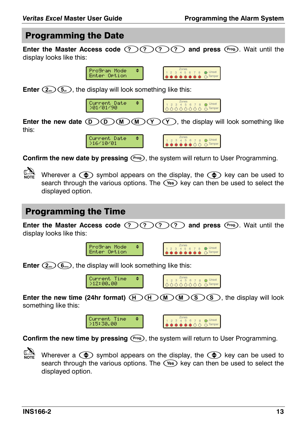#### Programming the Date

**Enter the Master Access code**  $(2)$ **,**  $(3)$ **,**  $(2)$ **, and press (Frog.). Wait until the** display looks like this:





**Enter**  $(2_{\text{obs}})(5_{\text{m}})$ , the display will look something like this:



|--|--|

 $\overline{O}$ -Tampe

**Enter the new date**  $(D)(D)(M)(Y)(Y)$ **, the display will look something like** this:



**Confirm the new date by pressing**  $(\overline{f^{reg}})$ **, the system will return to User Programming.** 

Wherever a  $\textcircled{\text{\large\bullet}}$  symbol appears on the display, the  $\textcircled{\text{\large\bullet}}$  key can be used to search through the various options. The  $\widehat{V^{es}}$  key can then be used to select the displayed option.

#### Programming the Time

**Enter the Master Access code (?) (?) (?) and press** (Free). Wait until the display looks like this:





**Enter**  $(2_{\text{obs}})(6_{\text{rms}})$ , the display will look something like this:



**Enter the new time (24hr format)**  $(H)(H)(H)(M)(S)(S)$ , the display will look something like this:

> Current Time >15:30.00



Confirm the new time by pressing  $(3.1)$ , the system will return to User Programming.

Wherever a  $\bigodot$  symbol appears on the display, the  $\bigodot$  key can be used to search through the various options. The  $\overline{($  key can then be used to select the displayed option.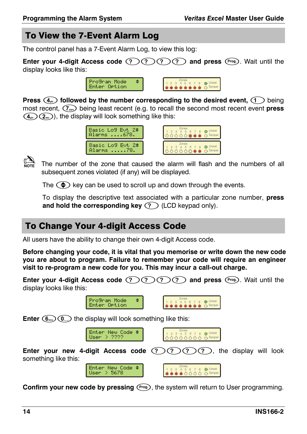# To View the 7-Event Alarm Log

The control panel has a 7-Event Alarm Log, to view this log:

**Enter your 4-digit Access code**  $(2)(2)(2)(3)$  **and press**  $(2)$ **. Wait until the** display looks like this:



**Press**  $(4)$  **followed by the number corresponding to the desired event,**  $(1)$  **being** most recent, 8 being least recent (e.g. to recall the second most recent event **press**   $(\mathcal{A}_{\mathsf{gib}})(\mathcal{A}_{\mathsf{gib}})$ , the display will look something like this:





The number of the zone that caused the alarm will flash and the numbers of all subsequent zones violated (if any) will be displayed.

The  $\bigodot$  key can be used to scroll up and down through the events.

To display the descriptive text associated with a particular zone number, **press and hold the corresponding key**  $(?)$  **(LCD keypad only).** 

# To Change Your 4-digit Access Code

All users have the ability to change their own 4-digit Access code.

**Before changing your code, it is vital that you memorise or write down the new code you are about to program. Failure to remember your code will require an engineer visit to re-program a new code for you. This may incur a call-out charge.** 

**Enter your 4-digit Access code**  $(2)(2)(2)$  **and press**  $(3)$ . Wait until the display looks like this:





**Enter**  $(\mathbf{G}_{\text{max}})(\mathbf{Q})$  the display will look something like this:





**Enter your new 4-digit Access code**  $(2)$  **(?) (?) (?)**, the display will look something like this:





**Confirm your new code by pressing (</math>**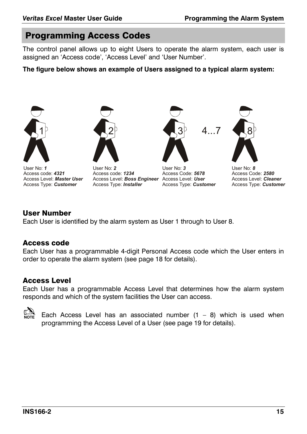#### Programming Access Codes

The control panel allows up to eight Users to operate the alarm system, each user is assigned an 'Access code', 'Access Level' and 'User Number'.

**The figure below shows an example of Users assigned to a typical alarm system:** 



User No: *1* Access code: *4321* Access Level: *Master User* Access Type:  *Customer*



User No: *2* Access code: *1234* Access Level: *Boss Engineer* Access Level: *User* Access Type: *Installer*



User No: *3*  Access Code: *5678* Access Type: *Customer* 



4...7 8

User No: *8*  Access Code: *2580* Access Level: *Cleaner* Access Type: *Customer* 

#### User Number

Each User is identified by the alarm system as User 1 through to User 8.

#### Access code

Each User has a programmable 4-digit Personal Access code which the User enters in order to operate the alarm system (see page 18 for details).

#### Access Level

Each User has a programmable Access Level that determines how the alarm system responds and which of the system facilities the User can access.



Each Access Level has an associated number  $(1 - 8)$  which is used when programming the Access Level of a User (see page 19 for details).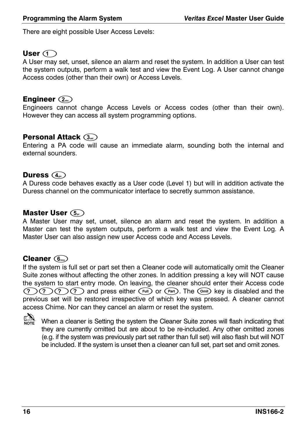There are eight possible User Access Levels:

### User  $\bigcirc$

A User may set, unset, silence an alarm and reset the system. In addition a User can test the system outputs, perform a walk test and view the Event Log. A User cannot change Access codes (other than their own) or Access Levels.

#### Engineer (2.bc)

Engineers cannot change Access Levels or Access codes (other than their own). However they can access all system programming options.

#### Personal Attack (3.

Entering a PA code will cause an immediate alarm, sounding both the internal and external sounders.

#### Duress  $\left(\widehat{\mathcal{A}}_{\mathsf{gh}}\right)$

A Duress code behaves exactly as a User code (Level 1) but will in addition activate the Duress channel on the communicator interface to secretly summon assistance.

#### Master User  $\overline{S_{\scriptscriptstyle{M}}}\$

A Master User may set, unset, silence an alarm and reset the system. In addition a Master can test the system outputs, perform a walk test and view the Event Log. A Master User can also assign new user Access code and Access Levels.

## Cleaner (6mo)

If the system is full set or part set then a Cleaner code will automatically omit the Cleaner Suite zones without affecting the other zones. In addition pressing a key will NOT cause the system to start entry mode. On leaving, the cleaner should enter their Access code  $\mathcal{P}(P)$  $\mathcal{P}(P)$  and press either  $\mathcal{F}$  or  $\mathcal{P}$  . The  $\mathcal{P}$  key is disabled and the previous set will be restored irrespective of which key was pressed. A cleaner cannot access Chime. Nor can they cancel an alarm or reset the system.



When a cleaner is Setting the system the Cleaner Suite zones will flash indicating that they are currently omitted but are about to be re-included. Any other omitted zones (e.g. if the system was previously part set rather than full set) will also flash but will NOT be included. If the system is unset then a cleaner can full set, part set and omit zones.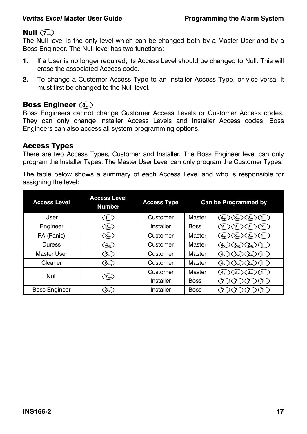### Null  $\widehat{\mathbb{Q}}$

The Null level is the only level which can be changed both by a Master User and by a Boss Engineer. The Null level has two functions:

- **1.** If a User is no longer required, its Access Level should be changed to Null. This will erase the associated Access code.
- **2.** To change a Customer Access Type to an Installer Access Type, or vice versa, it must first be changed to the Null level.

#### Boss Engineer  $\circledS_{\text{\tiny{tw}}}$

Boss Engineers cannot change Customer Access Levels or Customer Access codes. They can only change Installer Access Levels and Installer Access codes. Boss Engineers can also access all system programming options.

#### Access Types

There are two Access Types, Customer and Installer. The Boss Engineer level can only program the Installer Types. The Master User Level can only program the Customer Types.

The table below shows a summary of each Access Level and who is responsible for assigning the level:

| <b>Access Level</b>  | <b>Access Level</b><br><b>Number</b>              | <b>Access Type</b> |             | Can be Programmed by                                     |
|----------------------|---------------------------------------------------|--------------------|-------------|----------------------------------------------------------|
| User                 |                                                   | Customer           | Master      |                                                          |
| Engineer             | (2)                                               | Installer          | <b>Boss</b> |                                                          |
| PA (Panic)           | $\mathfrak{Z}_{\scriptscriptstyle{\mathsf{def}}}$ | Customer           | Master      | 3 <sub>det</sub><br>$2_{\text{abc}}$                     |
| Duress               | (4)                                               | Customer           | Master      | 3 <sub>det</sub>                                         |
| Master User          | (5)                                               | Customer           | Master      | 3 <sub>det</sub><br>$2_{\text{abc}}$<br>4 <sub>ghi</sub> |
| Cleaner              | 6 <sub>mn</sub>                                   | Customer           | Master      | 3 <sub>det</sub><br>$2_{\text{abc}}$<br>4 <sub>ghi</sub> |
| Null                 |                                                   | Customer           | Master      | 3 <sub>det</sub>                                         |
|                      | $\overline{q}_{\text{gas}}$                       | Installer          | <b>Boss</b> |                                                          |
| <b>Boss Engineer</b> | 8                                                 | Installer          | <b>Boss</b> |                                                          |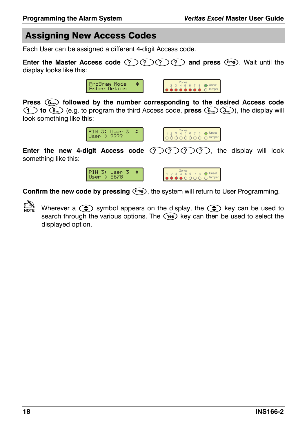# Assigning New Access Codes

Each User can be assigned a different 4-digit Access code.

**Enter the Master Access code (?) (?) (?) (?) and press (Prog.). Wait until the** display looks like this:



**Press** . **followed by the number corresponding to the desired Access code (1) to**  $(\mathbf{8}_{\infty})$  (e.g. to program the third Access code, **press**  $(\mathbf{6}_{\infty})$   $(\mathbf{3}_{\infty})$ , the display will look something like this:



**Enter the new 4-digit Access code**  $(2)$  $(2)$  $(2)$  $(2)$ **, the display will look** something like this:





**Confirm the new code by pressing**  $(Prog)$ **, the system will return to User Programming.** 

Wherever a  $\circledast$  symbol appears on the display, the  $\circledast$  key can be used to search through the various options. The  $\overline{V^{es}}$  key can then be used to select the displayed option.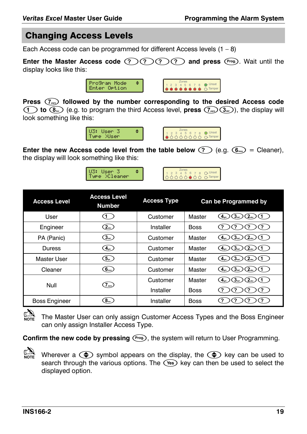# Changing Access Levels

Each Access code can be programmed for different Access levels  $(1 - 8)$ 

**Enter the Master Access code**  $(2)$ **,**  $(2)$ **,**  $(2)$ **, and press <sup>(Prog.</sup>). Wait until the** display looks like this:



**Press** 8 **followed by the number corresponding to the desired Access code (1) to**  $\widehat{B_{\omega}}$  (e.g. to program the third Access level, **press**  $\widehat{(B_{\omega}}(3_{\omega}))$ , the display will look something like this:



**Enter the new Access code level from the table below**  $\widehat{P}$  **(e.g.**  $\widehat{R}_{\text{max}} = \text{Clearer}$ **).** the display will look something like this:

| eanen |  |
|-------|--|
|-------|--|

| ies |  | t |
|-----|--|---|
|     |  |   |

| <b>Access Level</b>  | <b>Access Level</b><br><b>Number</b> | <b>Access Type</b> |             | <b>Can be Programmed by</b>                              |
|----------------------|--------------------------------------|--------------------|-------------|----------------------------------------------------------|
| User                 | 1.                                   | Customer           | Master      | 3 <sub>det</sub>                                         |
| Engineer             | (2)                                  | Installer          | <b>Boss</b> |                                                          |
| PA (Panic)           | (3)                                  | Customer           | Master      | 3 <sub>det</sub><br>$2_{\text{abs}}$<br>4 <sub>gmi</sub> |
| Duress               | $\sqrt{4}$ <sub>ghi</sub> $\sqrt{2}$ | Customer           | Master      | 3 <sub>det</sub><br>$2_{\text{abc}}$                     |
| Master User          | (5)                                  | Customer           | Master      | 3 <sub>det</sub><br>$2_{\text{abc}}$<br>$4_{\rm gal}$    |
| Cleaner              | $\widehat{6_{\text{mno}}}$           | Customer           | Master      | 3 <sub>det</sub><br>2 <sub>abc</sub>                     |
| Null                 | 7 <sub>per</sub>                     | Customer           | Master      | 3 <sub>det</sub><br>$2_{\text{abc}}$<br>4 <sub>gmi</sub> |
|                      |                                      | Installer          | <b>Boss</b> |                                                          |
| <b>Boss Engineer</b> | 8                                    | Installer          | <b>Boss</b> |                                                          |



The Master User can only assign Customer Access Types and the Boss Engineer can only assign Installer Access Type.

**Confirm the new code by pressing**  $(Prog)$ **, the system will return to User Programming.** 



Wherever a  $\bigodot$  symbol appears on the display, the  $\bigodot$  key can be used to search through the various options. The (Yes) key can then be used to select the displayed option.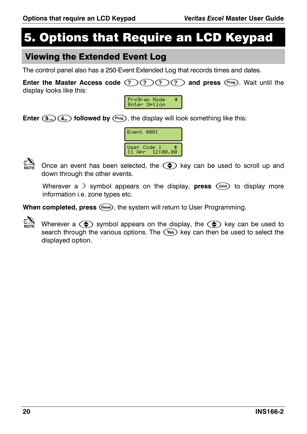# 5. Options that Require an LCD Keypad

#### Viewing the Extended Event Log

The control panel also has a 250-Event Extended Log that records times and dates.

**Enter the Master Access code (?) (?) (?) (?) and press** (Frog.). Wait until the display looks like this:



**Enter**  $(\mathcal{P}_{\text{avg}})(\mathcal{A}_{\text{min}})$  followed by  $(\mathcal{P}_{\text{reg}})$ , the display will look something like this:



Once an event has been selected, the  $\Rightarrow$  key can be used to scroll up and down through the other events.

Wherever a  $\geq$  symbol appears on the display, **press**  $(\widehat{\text{om}})$  to display more information i.e. zone types etc.

When completed, press (Reset), the system will return to User Programming.

Wherever a  $\textcircled{\text{\large\bullet}}$  symbol appears on the display, the  $\textcircled{\text{\large\bullet}}$  key can be used to search through the various options. The  $\overline{V^{es}}$  key can then be used to select the displayed option.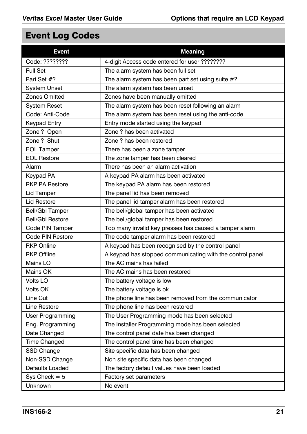# Event Log Codes

| <b>Event</b>            | <b>Meaning</b>                                            |
|-------------------------|-----------------------------------------------------------|
| Code: ????????          | 4-digit Access code entered for user ????????             |
| <b>Full Set</b>         | The alarm system has been full set                        |
| Part Set #?             | The alarm system has been part set using suite #?         |
| <b>System Unset</b>     | The alarm system has been unset                           |
| Zones Omitted           | Zones have been manually omitted                          |
| <b>System Reset</b>     | The alarm system has been reset following an alarm        |
| Code: Anti-Code         | The alarm system has been reset using the anti-code       |
| <b>Keypad Entry</b>     | Entry mode started using the keypad                       |
| Zone? Open              | Zone? has been activated                                  |
| Zone ? Shut             | Zone ? has been restored                                  |
| <b>EOL Tamper</b>       | There has been a zone tamper                              |
| <b>EOL Restore</b>      | The zone tamper has been cleared                          |
| Alarm                   | There has been an alarm activation                        |
| Keypad PA               | A keypad PA alarm has been activated                      |
| <b>RKP PA Restore</b>   | The keypad PA alarm has been restored                     |
| Lid Tamper              | The panel lid has been removed                            |
| Lid Restore             | The panel lid tamper alarm has been restored              |
| <b>Bell/Gbl Tamper</b>  | The bell/global tamper has been activated                 |
| <b>Bell/Gbl Restore</b> | The bell/global tamper has been restored                  |
| Code PIN Tamper         | Too many invalid key presses has caused a tamper alarm    |
| Code PIN Restore        | The code tamper alarm has been restored                   |
| <b>RKP Online</b>       | A keypad has been recognised by the control panel         |
| <b>RKP Offline</b>      | A keypad has stopped communicating with the control panel |
| Mains LO                | The AC mains has failed                                   |
| Mains OK                | The AC mains has been restored                            |
| Volts LO                | The battery voltage is low                                |
| Volts OK                | The battery voltage is ok                                 |
| Line Cut                | The phone line has been removed from the communicator     |
| Line Restore            | The phone line has been restored                          |
| User Programming        | The User Programming mode has been selected               |
| Eng. Programming        | The Installer Programming mode has been selected          |
| Date Changed            | The control panel date has been changed                   |
| Time Changed            | The control panel time has been changed                   |
| SSD Change              | Site specific data has been changed                       |
| Non-SSD Change          | Non site specific data has been changed                   |
| Defaults Loaded         | The factory default values have been loaded               |
| $Sys$ Check = 5         | Factory set parameters                                    |
| Unknown                 | No event                                                  |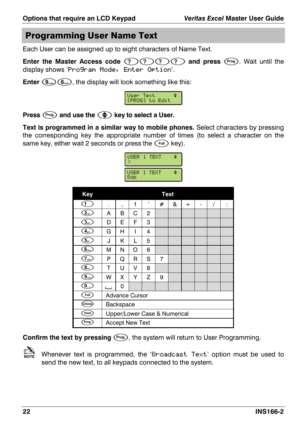#### **Programming User Name Text**

Each User can be assigned up to eight characters of Name Text.

Enter the Master Access code  $(2)(2)(2)$  and press  $(2\pi)$ . Wait until the display shows 'Pro9ram Mode, Enter Ortion'.

**Enter**  $(\widehat{\mathbf{S}_{\text{avg}}})$  ( $\widehat{\mathbf{G}_{\text{mag}}}$ ), the display will look something like this:

| User Text<br>IPROGI to Edit |  |
|-----------------------------|--|

Press (Prog.) and use the (+) key to select a User.

Text is programmed in a similar way to mobile phones. Select characters by pressing the corresponding key the appropriate number of times (to select a character on the same key, either wait 2 seconds or press the  $\binom{Full}{t}$  key).

| USER 1 TEXT   |             |  |
|---------------|-------------|--|
| USER 1<br>Bob | <b>TEXT</b> |  |

| <b>Key</b>                                              |                              |                        |   |   | <b>Text</b>    |   |        |   |  |        |
|---------------------------------------------------------|------------------------------|------------------------|---|---|----------------|---|--------|---|--|--------|
| 1                                                       |                              | ,                      | 1 | , | #              | & | $^{+}$ | - |  | ٠<br>٠ |
| (2)                                                     | А                            | в                      | С | 2 |                |   |        |   |  |        |
| $\mathfrak{I}_{\scriptscriptstyle{\text{out}}}$         | D                            | E                      | F | 3 |                |   |        |   |  |        |
| $\overline{\mathbf{4}}_{\text{\tiny{gm}}}$              | G                            | н                      | ı | 4 |                |   |        |   |  |        |
| $\overline{\mathbf{G}_{\mu}}$                           | J.                           | Κ                      | L | 5 |                |   |        |   |  |        |
| 6                                                       | м                            | N                      | O | 6 |                |   |        |   |  |        |
| $\widehat{\mathcal{T}}_{\text{regr}}$                   | P                            | Q                      | R | S | $\overline{7}$ |   |        |   |  |        |
| $\widehat{\textbf{8}}_{\scriptscriptstyle{\text{tuv}}}$ | т                            | U                      | v | 8 |                |   |        |   |  |        |
| $\overline{9_{\rm{avg}}}$                               | W                            | x                      | Υ | Z | 9              |   |        |   |  |        |
| $\circ$                                                 |                              | 0                      |   |   |                |   |        |   |  |        |
| <b>Full</b>                                             | <b>Advance Cursor</b>        |                        |   |   |                |   |        |   |  |        |
| (Chime                                                  | Backspace                    |                        |   |   |                |   |        |   |  |        |
| [Omit]                                                  | Upper/Lower Case & Numerical |                        |   |   |                |   |        |   |  |        |
| Prog.                                                   |                              | <b>Accept New Text</b> |   |   |                |   |        |   |  |        |

Confirm the text by pressing (Pros), the system will return to User Programming.



Whenever text is programmed, the 'Broadcast Text' option must be used to send the new text, to all keypads connected to the system.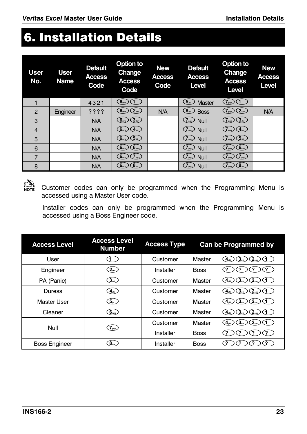# 6. Installation Details

| User.<br>No.   | <b>User</b><br><b>Name</b> | <b>Default</b><br><b>Access</b><br>Code | Option to<br><b>Change</b><br><b>Access</b><br>Code | <b>New</b><br><b>Access</b><br>Code | <b>Default</b><br><b>Access</b><br>Level                      | Option to<br>Change<br><b>Access</b><br>Level | <b>New</b><br><b>Access</b><br>Level |
|----------------|----------------------------|-----------------------------------------|-----------------------------------------------------|-------------------------------------|---------------------------------------------------------------|-----------------------------------------------|--------------------------------------|
|                |                            | 4321                                    | (6)                                                 |                                     | $\left[5_{\scriptscriptstyle{\mathrm{30}}} \right]$<br>Master | $\overline{Z}_{pqrs}$                         |                                      |
| $\overline{2}$ | Engineer                   | ????                                    | (2)<br>6 <sub>mn</sub>                              | N/A                                 | 8<br><b>Boss</b>                                              | (2)<br>$\frac{7}{2}$ pars                     | N/A                                  |
| 3              |                            | N/A                                     | (3)<br>6 <sub>mno</sub>                             |                                     | $(7)$ <sub>pqr</sub> ) Null                                   | (3)<br>$\frac{7}{2}$ pars                     |                                      |
| $\overline{4}$ |                            | N/A                                     | (4)<br>6 <sub>mno</sub>                             |                                     | $(7)$ <sub>pqrs</sub> $)$ Null                                | (4)<br>.7 <sub>pqrs</sub>                     |                                      |
| 5              |                            | N/A                                     | (5)<br>(6 <sub>mno</sub> )                          |                                     | $(7)$ <sub>pqrs</sub> $)$ Null                                | (5 <sub>m</sub> )<br>$7_{\text{pqrs}}$        |                                      |
| 6              |                            | N/A                                     | $6$ <sub>mno</sub><br>6 <sub>mno</sub>              |                                     | $(7)$ <sub>pqrs</sub> ) Null                                  | (6)<br>7 <sub>pqrs</sub>                      |                                      |
| 7              |                            | N/A                                     | (7)<br>6 <sub>mno</sub>                             |                                     | $(7)$ <sub>pqrs</sub> $)$<br>Null                             | (7)<br>7 <sub>pqrs</sub>                      |                                      |
| 8              |                            | N/A                                     | (8 <sub>uv</sub> )<br>6 <sub>mno</sub>              |                                     | $\sqrt{7}$ pqrs $)$<br>Null                                   | (8 <sub>tw</sub> )<br>T <sub>pqrs</sub>       |                                      |



Note Customer codes can only be programmed when the Programming Menu is accessed using a Master User code.

Installer codes can only be programmed when the Programming Menu is accessed using a Boss Engineer code.

| <b>Access Level</b>  | <b>Access Level</b><br><b>Number</b>   | <b>Access Type</b> |             | <b>Can be Programmed by</b>                                       |
|----------------------|----------------------------------------|--------------------|-------------|-------------------------------------------------------------------|
| User                 | 1.                                     | Customer           | Master      | 3 <sub>det</sub><br>$4_{\text{phi}}$                              |
| Engineer             | (2)                                    | Installer          | <b>Boss</b> |                                                                   |
| PA (Panic)           | (3)                                    | Customer           | Master      | 3 <sub>det</sub><br>2 <sub>abc</sub><br>4 <sub>ghi</sub>          |
| Duress               | (4)                                    | Customer           | Master      | 3 <sub>det</sub><br>2 <sub>abc</sub>                              |
| Master User          | $(5_{\scriptscriptstyle{\mathrm{M}}})$ | Customer           | Master      | 3 <sub>det</sub><br>$2_{\text{abc}}$<br>$-4ghi$                   |
| Cleaner              | $6$ $\sim$                             | Customer           | Master      | 3 <sub>det</sub><br>2 <sub>abc</sub>                              |
| Null                 |                                        | Customer           | Master      | $\sqrt{3}$ def $\sqrt{3}$<br>2 <sub>abc</sub><br>$4_{\text{phi}}$ |
|                      | 7 <sub>pers</sub>                      | Installer          | <b>Boss</b> |                                                                   |
| <b>Boss Engineer</b> | $8_{\rm sw}$                           | Installer          | <b>Boss</b> |                                                                   |